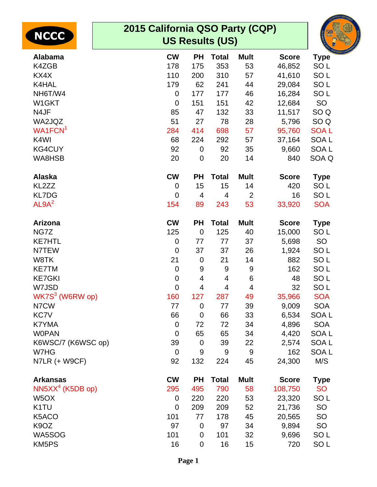| <b>NCCC</b>                 | 2015 California QSO Party (CQP) |                         | <b>US Results (US)</b> |                |              |                  | RNIA QSO PART |
|-----------------------------|---------------------------------|-------------------------|------------------------|----------------|--------------|------------------|---------------|
| <b>Alabama</b>              | <b>CW</b>                       | <b>PH</b>               | <b>Total</b>           | <b>Mult</b>    | <b>Score</b> | <b>Type</b>      |               |
| K4ZGB                       | 178                             | 175                     | 353                    | 53             | 46,852       | SO <sub>L</sub>  |               |
| KX4X                        | 110                             | 200                     | 310                    | 57             | 41,610       | SO <sub>L</sub>  |               |
| K4HAL                       | 179                             | 62                      | 241                    | 44             | 29,084       | SO <sub>L</sub>  |               |
| NH6T/W4                     | 0                               | 177                     | 177                    | 46             | 16,284       | SO <sub>L</sub>  |               |
| W1GKT                       | $\overline{0}$                  | 151                     | 151                    | 42             | 12,684       | SO               |               |
| N4JF                        | 85                              | 47                      | 132                    | 33             | 11,517       | SO <sub>Q</sub>  |               |
| WA2JQZ                      | 51                              | 27                      | 78                     | 28             | 5,796        | SO <sub>Q</sub>  |               |
| WA1FCN <sup>1</sup>         | 284                             | 414                     | 698                    | 57             | 95,760       | <b>SOAL</b>      |               |
| K4WI                        | 68                              | 224                     | 292                    | 57             | 37,164       | SOA <sub>L</sub> |               |
| <b>KG4CUY</b>               | 92                              | $\mathbf 0$             | 92                     | 35             | 9,660        | SOA <sub>L</sub> |               |
| WA8HSB                      | 20                              | $\mathbf 0$             | 20                     | 14             | 840          | SOA Q            |               |
| Alaska                      | <b>CW</b>                       | <b>PH</b>               | <b>Total</b>           | <b>Mult</b>    | <b>Score</b> | <b>Type</b>      |               |
| KL2ZZ                       | $\mathbf 0$                     | 15                      | 15                     | 14             | 420          | SO <sub>L</sub>  |               |
| <b>KL7DG</b>                | $\mathbf 0$                     | 4                       | $\overline{4}$         | 2              | 16           | SO <sub>L</sub>  |               |
| AL9A <sup>2</sup>           | 154                             | 89                      | 243                    | 53             | 33,920       | <b>SOA</b>       |               |
| <b>Arizona</b>              | <b>CW</b>                       | <b>PH</b>               | <b>Total</b>           | <b>Mult</b>    | <b>Score</b> | <b>Type</b>      |               |
| NG7Z                        | 125                             | $\mathbf 0$             | 125                    | 40             | 15,000       | SO <sub>L</sub>  |               |
| <b>KE7HTL</b>               | $\mathbf 0$                     | 77                      | 77                     | 37             | 5,698        | SO               |               |
| N7TEW                       | $\mathbf 0$                     | 37                      | 37                     | 26             | 1,924        | SO <sub>L</sub>  |               |
| W8TK                        | 21                              | $\mathbf 0$             | 21                     | 14             | 882          | SO <sub>L</sub>  |               |
| <b>KE7TM</b>                | $\mathbf 0$                     | 9                       | 9                      | 9              | 162          | SO <sub>L</sub>  |               |
| <b>KE7GKI</b>               | $\pmb{0}$                       | $\overline{\mathbf{4}}$ | 4                      | $\,6$          | 48           | SO <sub>L</sub>  |               |
| W7JSD                       | $\mathbf{0}$                    | 4                       | $\overline{4}$         | $\overline{4}$ | 32           | SO <sub>L</sub>  |               |
| WK7S <sup>3</sup> (W6RW op) | 160                             | 127                     | 287                    | 49             | 35,966       | <b>SOA</b>       |               |
| N7CW                        | 77                              | $\mathbf 0$             | 77                     | 39             | 9,009        | <b>SOA</b>       |               |
| KC7V                        | 66                              | $\mathbf 0$             | 66                     | 33             | 6,534        | SOA L            |               |
| K7YMA                       | $\mathbf 0$                     | 72                      | 72                     | 34             | 4,896        | <b>SOA</b>       |               |
| <b>WOPAN</b>                | $\overline{0}$                  | 65                      | 65                     | 34             | 4,420        | SOA <sub>L</sub> |               |
| K6WSC/7 (K6WSC op)          | 39                              | 0                       | 39                     | 22             | 2,574        | SOA L            |               |
| W7HG                        | $\mathbf 0$                     | $9\,$                   | 9                      | $9\,$          | 162          | SOA <sub>L</sub> |               |
| N7LR (+ W9CF)               | 92                              | 132                     | 224                    | 45             | 24,300       | M/S              |               |
| <b>Arkansas</b>             | <b>CW</b>                       | <b>PH</b>               | <b>Total</b>           | <b>Mult</b>    | <b>Score</b> | <b>Type</b>      |               |
| $NN5XX4$ (K5DB op)          | 295                             | 495                     | 790                    | 58             | 108,750      | <b>SO</b>        |               |
| W <sub>5</sub> OX           | $\mathbf 0$                     | 220                     | 220                    | 53             | 23,320       | SO <sub>L</sub>  |               |
| K <sub>1</sub> TU           | $\overline{0}$                  | 209                     | 209                    | 52             | 21,736       | SO               |               |
| K5ACO                       | 101                             | 77                      | 178                    | 45             | 20,565       | SO               |               |
| K <sub>9</sub> OZ           | 97                              | $\mathbf 0$             | 97                     | 34             | 9,894        | SO               |               |
| WA5SOG                      | 101                             | $\mathbf 0$             | 101                    | 32             | 9,696        | SO <sub>L</sub>  |               |
| KM5PS                       | 16                              | $\mathbf 0$             | 16                     | 15             | 720          | SO <sub>L</sub>  |               |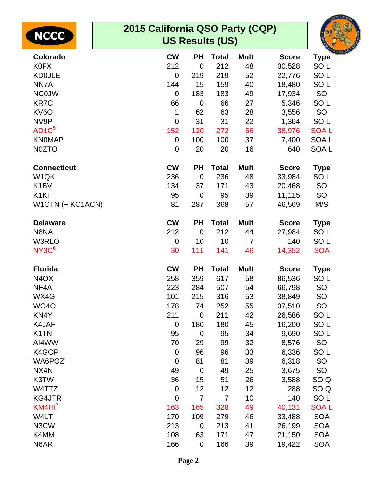|                    | 2015 California QSO Party (CQP) |                |                        |                |              |                  |
|--------------------|---------------------------------|----------------|------------------------|----------------|--------------|------------------|
| <b>NCCC</b>        |                                 |                | <b>US Results (US)</b> |                |              |                  |
| Colorado           | <b>CW</b>                       | <b>PH</b>      | <b>Total</b>           | <b>Mult</b>    | <b>Score</b> | <b>Type</b>      |
| <b>K0FX</b>        | 212                             | $\overline{0}$ | 212                    | 48             | 30,528       | SO <sub>L</sub>  |
| <b>KD0JLE</b>      | $\mathbf 0$                     | 219            | 219                    | 52             | 22,776       | SO <sub>L</sub>  |
| NN7A               | 144                             | 15             | 159                    | 40             | 18,480       | SO <sub>L</sub>  |
| <b>NCOJW</b>       | $\mathbf 0$                     | 183            | 183                    | 49             | 17,934       | SO               |
| <b>KR7C</b>        | 66                              | $\overline{0}$ | 66                     | 27             | 5,346        | SO <sub>L</sub>  |
| KV6O               | 1                               | 62             | 63                     | 28             | 3,556        | SO               |
| NV9P               | $\mathbf 0$                     | 31             | 31                     | 22             | 1,364        | SO <sub>L</sub>  |
| AD1C <sup>5</sup>  | 152                             | 120            | 272                    | 56             | 38,976       | <b>SOAL</b>      |
| <b>KNOMAP</b>      | $\overline{0}$                  | 100            | 100                    | 37             | 7,400        | <b>SOAL</b>      |
| N0ZTO              | $\mathbf 0$                     | 20             | 20                     | 16             | 640          | SOA <sub>L</sub> |
| <b>Connecticut</b> | <b>CW</b>                       | <b>PH</b>      | <b>Total</b>           | <b>Mult</b>    | <b>Score</b> | <b>Type</b>      |
| W <sub>1</sub> QK  | 236                             | $\overline{0}$ | 236                    | 48             | 33,984       | SO <sub>L</sub>  |
| K <sub>1</sub> BV  | 134                             | 37             | 171                    | 43             | 20,468       | <b>SO</b>        |
| K <sub>1</sub> KI  | 95                              | $\overline{0}$ | 95                     | 39             | 11,115       | SO               |
| W1CTN (+ KC1ACN)   | 81                              | 287            | 368                    | 57             | 46,569       | M/S              |
| <b>Delaware</b>    | <b>CW</b>                       | <b>PH</b>      | <b>Total</b>           | <b>Mult</b>    | <b>Score</b> | <b>Type</b>      |
| N8NA               | 212                             | $\overline{0}$ | 212                    | 44             | 27,984       | SO <sub>L</sub>  |
| W3RLO              | $\mathbf 0$                     | 10             | 10                     | $\overline{7}$ | 140          | SO <sub>L</sub>  |
| NY3C <sup>6</sup>  | 30                              | 111            | 141                    | 46             | 14,352       | <b>SOA</b>       |
| <b>Florida</b>     | <b>CW</b>                       | <b>PH</b>      | <b>Total</b>           | <b>Mult</b>    | <b>Score</b> | <b>Type</b>      |
| N <sub>4</sub> OX  | 258                             | 359            | 617                    | 58             | 86,536       | SO <sub>L</sub>  |
| NF4A               | 223                             | 284            | 507                    | 54             | 66,798       | <b>SO</b>        |
| WX4G               | 101                             | 215            | 316                    | 53             | 38,849       | SO               |
| <b>WO40</b>        | 178                             | 74             | 252                    | 55             | 37,510       | <b>SO</b>        |
| KN4Y               | 211                             | $\mathbf 0$    | 211                    | 42             | 26,586       | SO <sub>L</sub>  |
| K4JAF              | $\mathbf 0$                     | 180            | 180                    | 45             | 16,200       | SO <sub>L</sub>  |
| K <sub>1</sub> TN  | 95                              | $\mathbf 0$    | 95                     | 34             | 9,690        | SO <sub>L</sub>  |
| AI4WW              | 70                              | 29             | 99                     | 32             | 8,576        | <b>SO</b>        |
| K4GOP              | $\mathbf 0$                     | 96             | 96                     | 33             | 6,336        | SO <sub>L</sub>  |
| WA6POZ             | $\mathbf 0$                     | 81             | 81                     | 39             | 6,318        | SO               |
| NX4N               | 49                              | $\mathbf 0$    | 49                     | 25             | 3,675        | SO               |
| K3TW               | 36                              | 15             | 51                     | 26             | 3,588        | SO <sub>Q</sub>  |
| W4TTZ              | $\mathbf 0$                     | 12             | 12                     | 12             | 288          | SO <sub>Q</sub>  |
| <b>KG4JTR</b>      | $\mathbf 0$                     | $\overline{7}$ | $\overline{7}$         | 10             | 140          | SO <sub>L</sub>  |
| KM4HI'             | 163                             | 165            | 328                    | 49             | 40,131       | <b>SOAL</b>      |
| W4LT               | 170                             | 109            | 279                    | 46             | 33,488       | <b>SOA</b>       |
| N3CW               | 213                             | $\mathbf 0$    | 213                    | 41             | 26,199       | <b>SOA</b>       |
| K4MM               | 108                             | 63             | 171                    | 47             | 21,150       | <b>SOA</b>       |
| N6AR               | 166                             | $\mathbf 0$    | 166                    | 39             | 19,422       | <b>SOA</b>       |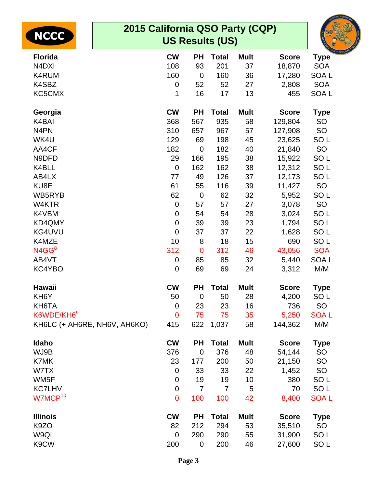| <b>NCCC</b>                    | 2015 California QSO Party (CQP)<br><b>US Results (US)</b> |                |                |                |              |                  |  |  |  |  |
|--------------------------------|-----------------------------------------------------------|----------------|----------------|----------------|--------------|------------------|--|--|--|--|
| <b>Florida</b>                 | <b>CW</b>                                                 | <b>PH</b>      | <b>Total</b>   | <b>Mult</b>    | <b>Score</b> | <b>Type</b>      |  |  |  |  |
| N <sub>4</sub> D <sub>XI</sub> | 108                                                       | 93             | 201            | 37             | 18,870       | <b>SOA</b>       |  |  |  |  |
| K4RUM                          | 160                                                       | $\mathbf 0$    | 160            | 36             | 17,280       | <b>SOAL</b>      |  |  |  |  |
| K4SBZ                          | 0                                                         | 52             | 52             | 27             | 2,808        | <b>SOA</b>       |  |  |  |  |
| KC5CMX                         | 1                                                         | 16             | 17             | 13             | 455          | SOA <sub>L</sub> |  |  |  |  |
| Georgia                        | <b>CW</b>                                                 | <b>PH</b>      | <b>Total</b>   | <b>Mult</b>    | <b>Score</b> | <b>Type</b>      |  |  |  |  |
| K4BAI                          | 368                                                       | 567            | 935            | 58             | 129,804      | SO               |  |  |  |  |
| N <sub>4</sub> PN              | 310                                                       | 657            | 967            | 57             | 127,908      | SO               |  |  |  |  |
| WK4U                           | 129                                                       | 69             | 198            | 45             | 23,625       | SO <sub>L</sub>  |  |  |  |  |
| AA4CF                          | 182                                                       | $\overline{0}$ | 182            | 40             | 21,840       | SO               |  |  |  |  |
| N9DFD                          | 29                                                        | 166            | 195            | 38             | 15,922       | SO <sub>L</sub>  |  |  |  |  |
| K4BLL                          | $\mathbf 0$                                               | 162            | 162            | 38             | 12,312       | SO <sub>L</sub>  |  |  |  |  |
| AB4LX                          | 77                                                        | 49             | 126            | 37             | 12,173       | SO <sub>L</sub>  |  |  |  |  |
| KU8E                           | 61                                                        | 55             | 116            | 39             | 11,427       | SO               |  |  |  |  |
| WB5RYB                         | 62                                                        | $\mathbf 0$    | 62             | 32             | 5,952        | SO <sub>L</sub>  |  |  |  |  |
| W4KTR                          | $\mathbf 0$                                               | 57             | 57             | 27             | 3,078        | SO               |  |  |  |  |
| K4VBM                          | $\mathbf 0$                                               | 54             | 54             | 28             | 3,024        | SO <sub>L</sub>  |  |  |  |  |
| KD4QMY                         | $\mathbf 0$                                               | 39             | 39             | 23             | 1,794        | SO <sub>L</sub>  |  |  |  |  |
| KG4UVU                         | $\mathbf 0$                                               | 37             | 37             | 22             | 1,628        | SO <sub>L</sub>  |  |  |  |  |
| K4MZE                          | 10                                                        | 8              | 18             | 15             | 690          | SO <sub>L</sub>  |  |  |  |  |
| N4GG <sup>8</sup>              | 312                                                       | $\overline{0}$ | 312            | 46             | 43,056       | <b>SOA</b>       |  |  |  |  |
| AB4VT                          | $\mathbf 0$                                               | 85             | 85             | 32             | 5,440        | SOA <sub>L</sub> |  |  |  |  |
| KC4YBO                         | $\boldsymbol{0}$                                          | 69             | 69             | 24             | 3,312        | M/M              |  |  |  |  |
| <b>Hawaii</b>                  | <b>CW</b>                                                 | <b>PH</b>      | <b>Total</b>   | <b>Mult</b>    | <b>Score</b> | <b>Type</b>      |  |  |  |  |
| KH6Y                           | 50                                                        | $\mathbf 0$    | 50             | 28             | 4,200        | SO <sub>L</sub>  |  |  |  |  |
| KH6TA                          | $\mathbf 0$                                               | 23             | 23             | 16             | 736          | SO               |  |  |  |  |
| K6WDE/KH6 <sup>9</sup>         | $\overline{0}$                                            | 75             | 75             | 35             | 5,250        | <b>SOAL</b>      |  |  |  |  |
| KH6LC (+ AH6RE, NH6V, AH6KO)   | 415                                                       | 622            | 1,037          | 58             | 144,362      | M/M              |  |  |  |  |
| Idaho                          | <b>CW</b>                                                 | <b>PH</b>      | <b>Total</b>   | <b>Mult</b>    | <b>Score</b> | <b>Type</b>      |  |  |  |  |
| WJ9B                           | 376                                                       | $\mathbf 0$    | 376            | 48             | 54,144       | SO               |  |  |  |  |
| K7MK                           | 23                                                        | 177            | 200            | 50             | 21,150       | SO               |  |  |  |  |
| W7TX                           | $\mathbf 0$                                               | 33             | 33             | 22             | 1,452        | SO               |  |  |  |  |
| WM5F                           | $\boldsymbol{0}$                                          | 19             | 19             | 10             | 380          | SO <sub>L</sub>  |  |  |  |  |
| <b>KC7LHV</b>                  | $\boldsymbol{0}$                                          | $\overline{7}$ | $\overline{7}$ | $\overline{5}$ | 70           | SO <sub>L</sub>  |  |  |  |  |
| W7MCP <sup>10</sup>            | 0                                                         | 100            | 100            | 42             | 8,400        | <b>SOAL</b>      |  |  |  |  |
| <b>Illinois</b>                | <b>CW</b>                                                 | <b>PH</b>      | <b>Total</b>   | <b>Mult</b>    | <b>Score</b> | <b>Type</b>      |  |  |  |  |
| K <sub>9</sub> ZO              | 82                                                        | 212            | 294            | 53             | 35,510       | SO               |  |  |  |  |
| W9QL                           | $\overline{0}$                                            | 290            | 290            | 55             | 31,900       | SO <sub>L</sub>  |  |  |  |  |
| K9CW                           | 200                                                       | $\mathbf 0$    | 200            | 46             | 27,600       | SO <sub>L</sub>  |  |  |  |  |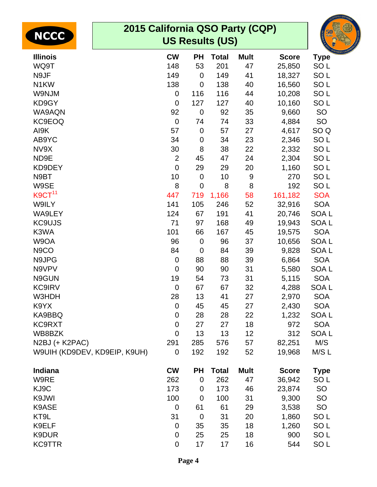| <b>NCCC</b>                  | 2015 California QSO Party (CQP)<br><b>US Results (US)</b> |                |              |             |              |                  |  |  |  |
|------------------------------|-----------------------------------------------------------|----------------|--------------|-------------|--------------|------------------|--|--|--|
| <b>Illinois</b>              | <b>CW</b>                                                 | <b>PH</b>      | <b>Total</b> | <b>Mult</b> | <b>Score</b> | <b>Type</b>      |  |  |  |
| WQ9T                         | 148                                                       | 53             | 201          | 47          | 25,850       | SO <sub>L</sub>  |  |  |  |
| N9JF                         | 149                                                       | $\mathbf 0$    | 149          | 41          | 18,327       | SO <sub>L</sub>  |  |  |  |
| N <sub>1</sub> KW            | 138                                                       | $\mathbf 0$    | 138          | 40          | 16,560       | SO <sub>L</sub>  |  |  |  |
| W9NJM                        | $\mathbf 0$                                               | 116            | 116          | 44          | 10,208       | SO <sub>L</sub>  |  |  |  |
| KD9GY                        | $\overline{0}$                                            | 127            | 127          | 40          | 10,160       | SO <sub>L</sub>  |  |  |  |
| WA9AQN                       | 92                                                        | $\mathbf 0$    | 92           | 35          | 9,660        | <b>SO</b>        |  |  |  |
| <b>KC9EOQ</b>                | $\overline{0}$                                            | 74             | 74           | 33          | 4,884        | SO               |  |  |  |
| AI9K                         | 57                                                        | $\mathbf 0$    | 57           | 27          | 4,617        | SO <sub>Q</sub>  |  |  |  |
| AB9YC                        | 34                                                        | $\mathbf 0$    | 34           | 23          | 2,346        | SO <sub>L</sub>  |  |  |  |
| NV9X                         | 30                                                        | 8              | 38           | 22          | 2,332        | SO <sub>L</sub>  |  |  |  |
| ND9E                         | $\overline{2}$                                            | 45             | 47           | 24          | 2,304        | SO <sub>L</sub>  |  |  |  |
| KD9DEY                       | $\overline{0}$                                            | 29             | 29           | 20          | 1,160        | SO <sub>L</sub>  |  |  |  |
| N9BT                         | 10                                                        | $\mathbf 0$    | 10           | 9           | 270          | SO <sub>L</sub>  |  |  |  |
| W9SE                         | 8                                                         | $\mathbf 0$    | 8            | 8           | 192          | SO <sub>L</sub>  |  |  |  |
| K9CT <sup>11</sup>           | 447                                                       | 719            | 1,166        | 58          | 161,182      | <b>SOA</b>       |  |  |  |
| W9ILY                        | 141                                                       | 105            | 246          | 52          | 32,916       | <b>SOA</b>       |  |  |  |
| WA9LEY                       | 124                                                       | 67             | 191          | 41          | 20,746       | SOA <sub>L</sub> |  |  |  |
| <b>KC9UJS</b>                | 71                                                        | 97             | 168          | 49          | 19,943       | SOA <sub>L</sub> |  |  |  |
| K3WA                         | 101                                                       | 66             | 167          | 45          | 19,575       | <b>SOA</b>       |  |  |  |
| W9OA                         | 96                                                        | $\mathbf 0$    | 96           | 37          | 10,656       | SOA <sub>L</sub> |  |  |  |
| N <sub>9</sub> CO            | 84                                                        | $\mathbf 0$    | 84           | 39          | 9,828        | SOA <sub>L</sub> |  |  |  |
| N9JPG                        | $\mathbf 0$                                               | 88             | 88           | 39          | 6,864        | <b>SOA</b>       |  |  |  |
| N9VPV                        | $\overline{0}$                                            | 90             | 90           | 31          | 5,580        | SOA <sub>L</sub> |  |  |  |
| N9GUN                        | 19                                                        | 54             | 73           | 31          | 5,115        | <b>SOA</b>       |  |  |  |
| <b>KC9IRV</b>                | $\Omega$                                                  | 67             | 67           | 32          | 4,288        | <b>SOAL</b>      |  |  |  |
| W3HDH                        | 28                                                        | 13             | 41           | 27          | 2,970        | <b>SOA</b>       |  |  |  |
| K9YX                         | $\mathbf 0$                                               | 45             | 45           | 27          | 2,430        | <b>SOA</b>       |  |  |  |
| KA9BBQ                       | $\mathbf 0$                                               | 28             | 28           | 22          | 1,232        | <b>SOAL</b>      |  |  |  |
| KC9RXT                       | $\overline{0}$                                            | 27             | 27           | 18          | 972          | <b>SOA</b>       |  |  |  |
| WB8BZK                       | $\overline{0}$                                            | 13             | 13           | 12          | 312          | SOA <sub>L</sub> |  |  |  |
| N2BJ (+ K2PAC)               | 291                                                       | 285            | 576          | 57          | 82,251       | M/S              |  |  |  |
| W9UIH (KD9DEV, KD9EIP, K9UH) | $\mathbf 0$                                               | 192            | 192          | 52          | 19,968       | M/S L            |  |  |  |
|                              |                                                           |                |              |             |              |                  |  |  |  |
| Indiana                      | <b>CW</b>                                                 | <b>PH</b>      | <b>Total</b> | <b>Mult</b> | <b>Score</b> | <b>Type</b>      |  |  |  |
| W9RE                         | 262                                                       | $\mathbf 0$    | 262          | 47          | 36,942       | SO <sub>L</sub>  |  |  |  |
| KJ9C                         | 173                                                       | $\mathbf 0$    | 173          | 46          | 23,874       | SO               |  |  |  |
| K9JWI                        | 100                                                       | $\overline{0}$ | 100          | 31          | 9,300        | <b>SO</b>        |  |  |  |
| K9ASE                        | $\mathbf 0$                                               | 61             | 61           | 29          | 3,538        | SO               |  |  |  |
| KT9L                         | 31                                                        | $\overline{0}$ | 31           | 20          | 1,860        | SO <sub>L</sub>  |  |  |  |
| K9ELF                        | $\mathbf 0$                                               | 35             | 35           | 18          | 1,260        | SO <sub>L</sub>  |  |  |  |
| K9DUR                        | $\mathbf 0$                                               | 25             | 25           | 18          | 900          | SO <sub>L</sub>  |  |  |  |
| <b>KC9TTR</b>                | $\mathbf 0$                                               | 17             | 17           | 16          | 544          | SO <sub>L</sub>  |  |  |  |
|                              |                                                           |                |              |             |              |                  |  |  |  |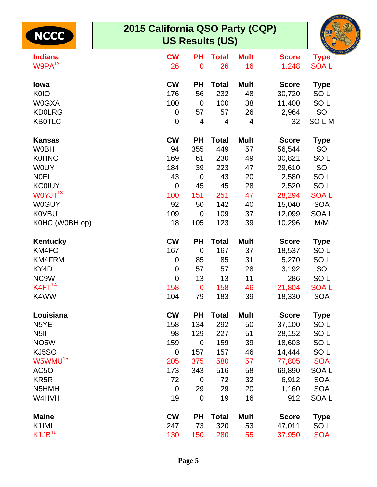| <b>NCCC</b>         | 2015 California QSO Party (CQP)<br><b>US Results (US)</b> |                         |              |                |              |                  |  |  |  |  |
|---------------------|-----------------------------------------------------------|-------------------------|--------------|----------------|--------------|------------------|--|--|--|--|
| <b>Indiana</b>      | <b>CW</b>                                                 | <b>PH</b>               | <b>Total</b> | <b>Mult</b>    | <b>Score</b> | <b>Type</b>      |  |  |  |  |
| W9PA <sup>12</sup>  | 26                                                        | $\mathbf 0$             | 26           | 16             | 1,248        | <b>SOAL</b>      |  |  |  |  |
| lowa                | <b>CW</b>                                                 | <b>PH</b>               | <b>Total</b> | <b>Mult</b>    | <b>Score</b> | <b>Type</b>      |  |  |  |  |
| <b>K0IO</b>         | 176                                                       | 56                      | 232          | 48             | 30,720       | SO <sub>L</sub>  |  |  |  |  |
| <b>W0GXA</b>        | 100                                                       | $\overline{0}$          | 100          | 38             | 11,400       | SO <sub>L</sub>  |  |  |  |  |
| <b>KD0LRG</b>       | $\mathbf 0$                                               | 57                      | 57           | 26             | 2,964        | <b>SO</b>        |  |  |  |  |
| <b>KB0TLC</b>       | $\mathbf 0$                                               | $\overline{\mathbf{4}}$ | 4            | $\overline{4}$ | 32           | SOLM             |  |  |  |  |
| <b>Kansas</b>       | <b>CW</b>                                                 | <b>PH</b>               | <b>Total</b> | <b>Mult</b>    | <b>Score</b> | <b>Type</b>      |  |  |  |  |
| <b>W0BH</b>         | 94                                                        | 355                     | 449          | 57             | 56,544       | <b>SO</b>        |  |  |  |  |
| <b>K0HNC</b>        | 169                                                       | 61                      | 230          | 49             | 30,821       | SO <sub>L</sub>  |  |  |  |  |
| <b>WOUY</b>         | 184                                                       | 39                      | 223          | 47             | 29,610       | SO               |  |  |  |  |
| <b>NOEI</b>         | 43                                                        | $\mathbf 0$             | 43           | 20             | 2,580        | SO <sub>L</sub>  |  |  |  |  |
| <b>KC0IUY</b>       | $\overline{0}$                                            | 45                      | 45           | 28             | 2,520        | SO <sub>L</sub>  |  |  |  |  |
| W0YJT <sup>13</sup> | 100                                                       | 151                     | 251          | 47             | 28,294       | <b>SOAL</b>      |  |  |  |  |
| <b>W0GUY</b>        | 92                                                        | 50                      | 142          | 40             | 15,040       | <b>SOA</b>       |  |  |  |  |
| <b>K0VBU</b>        | 109                                                       | $\overline{0}$          | 109          | 37             | 12,099       | <b>SOAL</b>      |  |  |  |  |
| K0HC (W0BH op)      | 18                                                        | 105                     | 123          | 39             | 10,296       | M/M              |  |  |  |  |
| Kentucky            | <b>CW</b>                                                 | <b>PH</b>               | <b>Total</b> | <b>Mult</b>    | <b>Score</b> | <b>Type</b>      |  |  |  |  |
| KM4FO               | 167                                                       | $\overline{0}$          | 167          | 37             | 18,537       | SO <sub>L</sub>  |  |  |  |  |
| KM4FRM              | $\mathbf 0$                                               | 85                      | 85           | 31             | 5,270        | SO <sub>L</sub>  |  |  |  |  |
| KY4D                | $\mathbf 0$                                               | 57                      | 57           | 28             | 3,192        | <b>SO</b>        |  |  |  |  |
| NC9W                | $\mathbf 0$                                               | 13                      | 13           | 11             | 286          | SO <sub>L</sub>  |  |  |  |  |
| K4FT <sup>14</sup>  | 158                                                       | $\mathbf 0$             | 158          | 46             | 21,804       | <b>SOAL</b>      |  |  |  |  |
| K4WW                | 104                                                       | 79                      | 183          | 39             | 18,330       | <b>SOA</b>       |  |  |  |  |
| Louisiana           | <b>CW</b>                                                 | <b>PH</b>               | <b>Total</b> | <b>Mult</b>    | <b>Score</b> | <b>Type</b>      |  |  |  |  |
| N <sub>5</sub> YE   | 158                                                       | 134                     | 292          | 50             | 37,100       | SO <sub>L</sub>  |  |  |  |  |
| N <sub>5</sub> II   | 98                                                        | 129                     | 227          | 51             | 28,152       | SO <sub>L</sub>  |  |  |  |  |
| NO <sub>5</sub> W   | 159                                                       | $\mathbf 0$             | 159          | 39             | 18,603       | SO <sub>L</sub>  |  |  |  |  |
| KJ5SO               | $\mathbf 0$                                               | 157                     | 157          | 46             | 14,444       | SO <sub>L</sub>  |  |  |  |  |
| W5WMU <sup>15</sup> | 205                                                       | 375                     | 580          | 57             | 77,805       | <b>SOA</b>       |  |  |  |  |
| AC <sub>5</sub> O   | 173                                                       | 343                     | 516          | 58             | 69,890       | SOA <sub>L</sub> |  |  |  |  |
| KR <sub>5</sub> R   | 72                                                        | $\mathbf 0$             | 72           | 32             | 6,912        | <b>SOA</b>       |  |  |  |  |
| N5HMH               | $\mathbf 0$                                               | 29                      | 29           | 20             | 1,160        | <b>SOA</b>       |  |  |  |  |
| W4HVH               | 19                                                        | $\mathbf 0$             | 19           | 16             | 912          | SOA <sub>L</sub> |  |  |  |  |
| <b>Maine</b>        | <b>CW</b>                                                 | <b>PH</b>               | <b>Total</b> | <b>Mult</b>    | <b>Score</b> | <b>Type</b>      |  |  |  |  |
| K <sub>1</sub> IMI  | 247                                                       | 73                      | 320          | 53             | 47,011       | SO <sub>L</sub>  |  |  |  |  |
| K1JB <sup>16</sup>  | 130                                                       | 150                     | 280          | 55             | 37,950       | <b>SOA</b>       |  |  |  |  |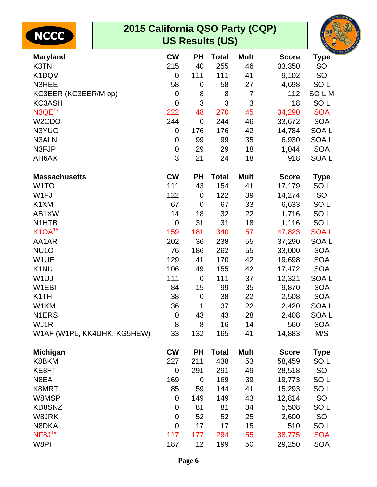| 2015 California QSO Party (CQP)<br><b>NCCC</b> |             |                  | <b>US Results (US)</b> |                |              |                  |
|------------------------------------------------|-------------|------------------|------------------------|----------------|--------------|------------------|
| <b>Maryland</b>                                | <b>CW</b>   | <b>PH</b>        | <b>Total</b>           | <b>Mult</b>    | <b>Score</b> | <b>Type</b>      |
| K3TN                                           | 215         | 40               | 255                    | 46             | 33,350       | <b>SO</b>        |
| K1DQV                                          | $\mathbf 0$ | 111              | 111                    | 41             | 9,102        | SO               |
| N3HEE                                          | 58          | 0                | 58                     | 27             | 4,698        | SO <sub>L</sub>  |
| KC3EER (KC3EER/M op)                           | $\mathbf 0$ | 8                | 8                      | $\overline{7}$ | 112          | <b>SOLM</b>      |
| <b>KC3ASH</b>                                  | $\mathbf 0$ | 3                | 3                      | 3              | 18           | SO <sub>L</sub>  |
| N3QE <sup>17</sup>                             | 222         | 48               | 270                    | 45             | 34,290       | <b>SOA</b>       |
| W <sub>2</sub> CDO                             | 244         | $\overline{0}$   | 244                    | 46             | 33,672       | <b>SOA</b>       |
| N3YUG<br>N3ALN                                 | $\mathbf 0$ | 176              | 176                    | 42             | 14,784       | SOA <sub>L</sub> |
|                                                | $\mathbf 0$ | 99               | 99                     | 35             | 6,930        | SOA <sub>L</sub> |
| N3FJP                                          | $\mathbf 0$ | 29               | 29                     | 18             | 1,044        | <b>SOA</b>       |
| AH6AX                                          | 3           | 21               | 24                     | 18             | 918          | SOA <sub>L</sub> |
| <b>Massachusetts</b>                           | <b>CW</b>   | <b>PH</b>        | <b>Total</b>           | <b>Mult</b>    | <b>Score</b> | <b>Type</b>      |
| W <sub>1</sub> TO                              | 111         | 43               | 154                    | 41             | 17,179       | SO <sub>L</sub>  |
| W1FJ                                           | 122         | $\mathbf 0$      | 122                    | 39             | 14,274       | <b>SO</b>        |
| K1XM                                           | 67          | $\mathbf 0$      | 67                     | 33             | 6,633        | SO <sub>L</sub>  |
| AB1XW                                          | 14          | 18               | 32                     | 22             | 1,716        | SO <sub>L</sub>  |
| N <sub>1</sub> HTB                             | $\mathbf 0$ | 31               | 31                     | 18             | 1,116        | SO <sub>L</sub>  |
| $K1OA^{18}$                                    | 159         | 181              | 340                    | 57             | 47,823       | <b>SOAL</b>      |
| AA1AR                                          | 202         | 36               | 238                    | 55             | 37,290       | SOA <sub>L</sub> |
| NU <sub>10</sub>                               | 76          | 186              | 262                    | 55             | 33,000       | <b>SOA</b>       |
| W1UE                                           | 129         | 41               | 170                    | 42             | 19,698       | <b>SOA</b>       |
| K <sub>1</sub> NU                              | 106         | 49               | 155                    | 42             | 17,472       | <b>SOA</b>       |
| W <sub>1</sub> UJ                              | 111         | $\mathbf 0$      | 111                    | 37             | 12,321       | SOA <sub>L</sub> |
| W <sub>1</sub> EBI                             | 84          | 15               | 99                     | 35             | 9,870        | <b>SOA</b>       |
| K <sub>1</sub> TH                              | 38          | $\boldsymbol{0}$ | 38                     | 22             | 2,508        | <b>SOA</b>       |
| W1KM                                           | 36          | 1                | 37                     | 22             | 2,420        | SOA L            |
| N <sub>1</sub> ERS                             | $\mathbf 0$ | 43               | 43                     | 28             | 2,408        | SOA L            |
| WJ1R                                           | 8           | 8                | 16                     | 14             | 560          | <b>SOA</b>       |
| W1AF (W1PL, KK4UHK, KG5HEW)                    | 33          | 132              | 165                    | 41             | 14,883       | M/S              |
| <b>Michigan</b>                                | <b>CW</b>   | <b>PH</b>        | <b>Total</b>           | <b>Mult</b>    | <b>Score</b> | <b>Type</b>      |
| K8BKM                                          | 227         | 211              | 438                    | 53             | 58,459       | SO <sub>L</sub>  |
| KE8FT                                          | $\mathbf 0$ | 291              | 291                    | 49             | 28,518       | <b>SO</b>        |
| N8EA                                           | 169         | $\mathbf 0$      | 169                    | 39             | 19,773       | SO <sub>L</sub>  |
| K8MRT                                          | 85          | 59               | 144                    | 41             | 15,293       | SO <sub>L</sub>  |
| W8MSP                                          | $\mathbf 0$ | 149              | 149                    | 43             | 12,814       | <b>SO</b>        |
| KD8SNZ                                         | $\mathbf 0$ | 81               | 81                     | 34             | 5,508        | SO <sub>L</sub>  |
| W8JRK                                          | $\mathbf 0$ | 52               | 52                     | 25             | 2,600        | <b>SO</b>        |
| N8DKA                                          | $\mathbf 0$ | 17               | 17                     | 15             | 510          | SO <sub>L</sub>  |
| NF8J <sup>19</sup>                             | 117         | 177              | 294                    | 55             | 38,775       | <b>SOA</b>       |
| W8PI                                           | 187         | 12               | 199                    | 50             | 29,250       | <b>SOA</b>       |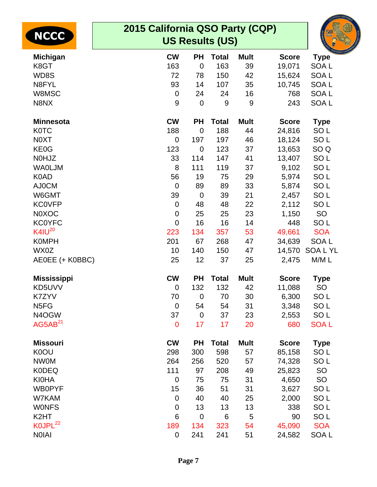| <b>NCCC</b>         | 2015 California QSO Party (CQP)<br><b>US Results (US)</b> |                  |              |             |              |                  |  |  |  |
|---------------------|-----------------------------------------------------------|------------------|--------------|-------------|--------------|------------------|--|--|--|
| <b>Michigan</b>     | <b>CW</b>                                                 | <b>PH</b>        | <b>Total</b> | <b>Mult</b> | <b>Score</b> | <b>Type</b>      |  |  |  |
| K8GT                | 163                                                       | $\mathbf 0$      | 163          | 39          | 19,071       | SOA <sub>L</sub> |  |  |  |
| WD8S                | 72                                                        | 78               | 150          | 42          | 15,624       | SOA <sub>L</sub> |  |  |  |
| N8FYL               | 93                                                        | 14               | 107          | 35          | 10,745       | SOA <sub>L</sub> |  |  |  |
| W8MSC               | $\mathbf 0$                                               | 24               | 24           | 16          | 768          | SOA <sub>L</sub> |  |  |  |
| N8NX                | 9                                                         | $\mathbf 0$      | 9            | 9           | 243          | SOA <sub>L</sub> |  |  |  |
| <b>Minnesota</b>    | <b>CW</b>                                                 | <b>PH</b>        | <b>Total</b> | <b>Mult</b> | <b>Score</b> | <b>Type</b>      |  |  |  |
| <b>K0TC</b>         | 188                                                       | $\mathbf 0$      | 188          | 44          | 24,816       | SO <sub>L</sub>  |  |  |  |
| N0XT                | $\mathbf 0$                                               | 197              | 197          | 46          | 18,124       | SO <sub>L</sub>  |  |  |  |
| KE0G                | 123                                                       | $\mathbf 0$      | 123          | 37          | 13,653       | SO <sub>Q</sub>  |  |  |  |
| N0HJZ               | 33                                                        | 114              | 147          | 41          | 13,407       | SO <sub>L</sub>  |  |  |  |
| <b>WAOLJM</b>       | 8                                                         | 111              | 119          | 37          | 9,102        | SO <sub>L</sub>  |  |  |  |
| K0AD                | 56                                                        | 19               | 75           | 29          | 5,974        | SO <sub>L</sub>  |  |  |  |
| AJ0CM               | $\overline{0}$                                            | 89               | 89           | 33          | 5,874        | SO <sub>L</sub>  |  |  |  |
| W6GMT               | 39                                                        | $\mathbf 0$      | 39           | 21          | 2,457        | SO <sub>L</sub>  |  |  |  |
| <b>KC0VFP</b>       | $\mathbf 0$                                               | 48               | 48           | 22          | 2,112        | SO <sub>L</sub>  |  |  |  |
| <b>N0XOC</b>        | $\mathbf 0$                                               | 25               | 25           | 23          | 1,150        | SO               |  |  |  |
| <b>KC0YFC</b>       | $\mathbf 0$                                               | 16               | 16           | 14          | 448          | SO <sub>L</sub>  |  |  |  |
| $K4IU^{20}$         | 223                                                       | 134              | 357          | 53          | 49,661       | <b>SOA</b>       |  |  |  |
| <b>K0MPH</b>        | 201                                                       | 67               | 268          | 47          | 34,639       | SOA <sub>L</sub> |  |  |  |
| WX0Z                | 10                                                        | 140              | 150          | 47          |              | 14,570 SOA L YL  |  |  |  |
| AE0EE (+ K0BBC)     | 25                                                        | 12               | 37           | 25          | 2,475        | M/ML             |  |  |  |
| <b>Mississippi</b>  | <b>CW</b>                                                 | <b>PH</b>        | <b>Total</b> | <b>Mult</b> | <b>Score</b> | <b>Type</b>      |  |  |  |
| KD5UVV              | $\mathbf 0$                                               | 132              | 132          | 42          | 11,088       | <b>SO</b>        |  |  |  |
| K7ZYV               | 70                                                        | $\boldsymbol{0}$ | 70           | 30          | 6,300        | SO L             |  |  |  |
| N <sub>5FG</sub>    | $\boldsymbol{0}$                                          | 54               | 54           | 31          | 3,348        | SO <sub>L</sub>  |  |  |  |
| N4OGW               | 37                                                        | $\mathbf 0$      | 37           | 23          | 2,553        | SO <sub>L</sub>  |  |  |  |
| AG5AB <sup>21</sup> | $\mathbf 0$                                               | 17               | 17           | 20          | 680          | <b>SOAL</b>      |  |  |  |
| <b>Missouri</b>     | <b>CW</b>                                                 | <b>PH</b>        | <b>Total</b> | <b>Mult</b> | <b>Score</b> | <b>Type</b>      |  |  |  |
| K0OU                | 298                                                       | 300              | 598          | 57          | 85,158       | SO <sub>L</sub>  |  |  |  |
| <b>NW0M</b>         | 264                                                       | 256              | 520          | 57          | 74,328       | SO <sub>L</sub>  |  |  |  |
| <b>K0DEQ</b>        | 111                                                       | 97               | 208          | 49          | 25,823       | SO               |  |  |  |
| <b>KI0HA</b>        | $\mathbf 0$                                               | 75               | 75           | 31          | 4,650        | SO               |  |  |  |
| <b>WB0PYF</b>       | 15                                                        | 36               | 51           | 31          | 3,627        | SO <sub>L</sub>  |  |  |  |
| W7KAM               | $\mathbf 0$                                               | 40               | 40           | 25          | 2,000        | SO <sub>L</sub>  |  |  |  |
| <b>WONFS</b>        | $\mathbf 0$                                               | 13               | 13           | 13          | 338          | SO <sub>L</sub>  |  |  |  |
| K <sub>2</sub> HT   | 6                                                         | $\mathbf 0$      | 6            | 5           | 90           | SO <sub>L</sub>  |  |  |  |
| KOJPL <sup>22</sup> | 189                                                       | 134              | 323          | 54          | 45,090       | <b>SOA</b>       |  |  |  |
| <b>NOIAI</b>        | $\pmb{0}$                                                 | 241              | 241          | 51          | 24,582       | SOA L            |  |  |  |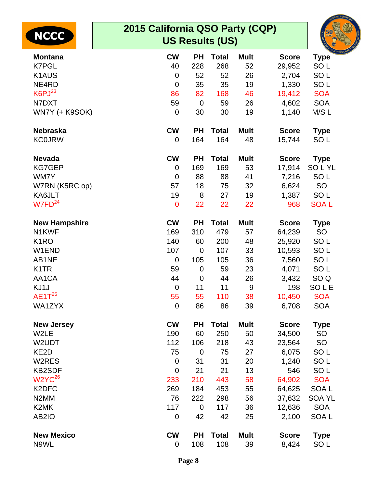| <b>NCCC</b>           | 2015 California QSO Party (CQP)<br><b>US Results (US)</b> |                |              |             |              |                  |  |  |  |
|-----------------------|-----------------------------------------------------------|----------------|--------------|-------------|--------------|------------------|--|--|--|
| <b>Montana</b>        | <b>CW</b>                                                 | <b>PH</b>      | <b>Total</b> | <b>Mult</b> | <b>Score</b> | <b>Type</b>      |  |  |  |
| <b>K7PGL</b>          | 40                                                        | 228            | 268          | 52          | 29,952       | SO <sub>L</sub>  |  |  |  |
| K <sub>1</sub> AUS    | $\mathbf 0$                                               | 52             | 52           | 26          | 2,704        | SO <sub>L</sub>  |  |  |  |
| NE4RD                 | $\mathbf 0$                                               | 35             | 35           | 19          | 1,330        | SO <sub>L</sub>  |  |  |  |
| K6PJ <sup>23</sup>    | 86                                                        | 82             | 168          | 46          | 19,412       | <b>SOA</b>       |  |  |  |
| N7DXT                 | 59                                                        | $\overline{0}$ | 59           | 26          | 4,602        | <b>SOA</b>       |  |  |  |
| WN7Y (+ K9SOK)        | $\mathbf 0$                                               | 30             | 30           | 19          | 1,140        | M/S L            |  |  |  |
| <b>Nebraska</b>       | <b>CW</b>                                                 | <b>PH</b>      | <b>Total</b> | <b>Mult</b> | <b>Score</b> | <b>Type</b>      |  |  |  |
| <b>KC0JRW</b>         | 0                                                         | 164            | 164          | 48          | 15,744       | SO <sub>L</sub>  |  |  |  |
| <b>Nevada</b>         | <b>CW</b>                                                 | <b>PH</b>      | <b>Total</b> | <b>Mult</b> | <b>Score</b> | <b>Type</b>      |  |  |  |
| <b>KG7GEP</b>         | 0                                                         | 169            | 169          | 53          | 17,914       | <b>SOLYL</b>     |  |  |  |
| WM7Y                  | $\mathbf 0$                                               | 88             | 88           | 41          | 7,216        | SO <sub>L</sub>  |  |  |  |
| W7RN (K5RC op)        | 57                                                        | 18             | 75           | 32          | 6,624        | SO               |  |  |  |
| KA6JLT                | 19                                                        | 8              | 27           | 19          | 1,387        | SO <sub>L</sub>  |  |  |  |
| $W$ 7FD <sup>24</sup> | $\mathbf 0$                                               | 22             | 22           | 22          | 968          | <b>SOAL</b>      |  |  |  |
| <b>New Hampshire</b>  | <b>CW</b>                                                 | <b>PH</b>      | <b>Total</b> | <b>Mult</b> | <b>Score</b> | <b>Type</b>      |  |  |  |
| N1KWF                 | 169                                                       | 310            | 479          | 57          | 64,239       | SO               |  |  |  |
| K <sub>1</sub> RO     | 140                                                       | 60             | 200          | 48          | 25,920       | SO <sub>L</sub>  |  |  |  |
| W1END                 | 107                                                       | $\overline{0}$ | 107          | 33          | 10,593       | SO <sub>L</sub>  |  |  |  |
| AB1NE                 | $\mathbf 0$                                               | 105            | 105          | 36          | 7,560        | SO <sub>L</sub>  |  |  |  |
| K <sub>1</sub> TR     | 59                                                        | $\mathbf 0$    | 59           | 23          | 4,071        | SO <sub>L</sub>  |  |  |  |
| AA1CA                 | 44                                                        | $\mathbf 0$    | 44           | 26          | 3,432        | SO <sub>Q</sub>  |  |  |  |
| KJ1J                  | $\overline{0}$                                            | 11             | 11           | 9           | 198          | <b>SOLE</b>      |  |  |  |
| $AE1T^{25}$           | 55                                                        | 55             | 110          | 38          | 10,450       | <b>SOA</b>       |  |  |  |
| WA1ZYX                | $\mathbf 0$                                               | 86             | 86           | 39          | 6,708        | <b>SOA</b>       |  |  |  |
| <b>New Jersey</b>     | <b>CW</b>                                                 | <b>PH</b>      | <b>Total</b> | <b>Mult</b> | <b>Score</b> | <b>Type</b>      |  |  |  |
| W2LE                  | 190                                                       | 60             | 250          | 50          | 34,500       | SO               |  |  |  |
| W2UDT                 | 112                                                       | 106            | 218          | 43          | 23,564       | <b>SO</b>        |  |  |  |
| KE <sub>2</sub> D     | 75                                                        | $\mathbf 0$    | 75           | 27          | 6,075        | SO <sub>L</sub>  |  |  |  |
| W2RES                 | $\mathbf 0$                                               | 31             | 31           | 20          | 1,240        | SO <sub>L</sub>  |  |  |  |
| <b>KB2SDF</b>         | $\mathbf 0$                                               | 21             | 21           | 13          | 546          | SO <sub>L</sub>  |  |  |  |
| W2YC <sup>26</sup>    | 233                                                       | 210            | 443          | 58          | 64,902       | <b>SOA</b>       |  |  |  |
| K <sub>2</sub> DFC    | 269                                                       | 184            | 453          | 55          | 64,625       | SOA <sub>L</sub> |  |  |  |
| N <sub>2</sub> MM     | 76                                                        | 222            | 298          | 56          | 37,632       | <b>SOA YL</b>    |  |  |  |
| K <sub>2</sub> MK     | 117                                                       | $\mathbf 0$    | 117          | 36          | 12,636       | <b>SOA</b>       |  |  |  |
| AB <sub>2</sub> IO    | 0                                                         | 42             | 42           | 25          | 2,100        | SOA L            |  |  |  |
| <b>New Mexico</b>     | <b>CW</b>                                                 | <b>PH</b>      | <b>Total</b> | <b>Mult</b> | <b>Score</b> | <b>Type</b>      |  |  |  |
| N9WL                  | 0                                                         | 108            | 108          | 39          | 8,424        | SO <sub>L</sub>  |  |  |  |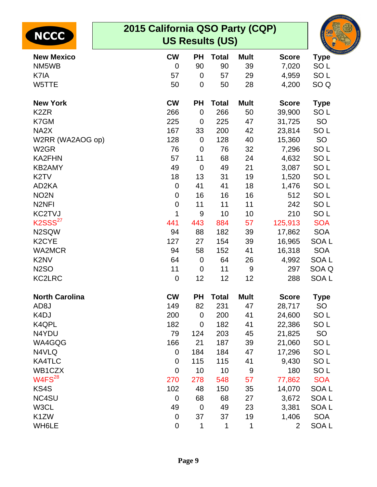| <b>NCCC</b>                   | 2015 California QSO Party (CQP)<br><b>US Results (US)</b> |                |              |             |                |                  |  |  |  |
|-------------------------------|-----------------------------------------------------------|----------------|--------------|-------------|----------------|------------------|--|--|--|
| <b>New Mexico</b>             | <b>CW</b>                                                 | <b>PH</b>      | <b>Total</b> | <b>Mult</b> | <b>Score</b>   | <b>Type</b>      |  |  |  |
| NM5WB                         | $\mathbf 0$                                               | 90             | 90           | 39          | 7,020          | SO <sub>L</sub>  |  |  |  |
| K7IA                          | 57                                                        | 0              | 57           | 29          | 4,959          | SO <sub>L</sub>  |  |  |  |
| W5TTE                         | 50                                                        | $\mathbf 0$    | 50           | 28          | 4,200          | SO <sub>Q</sub>  |  |  |  |
| <b>New York</b>               | <b>CW</b>                                                 | <b>PH</b>      | <b>Total</b> | <b>Mult</b> | <b>Score</b>   | <b>Type</b>      |  |  |  |
| K <sub>2</sub> ZR             | 266                                                       | $\overline{0}$ | 266          | 50          | 39,900         | SO <sub>L</sub>  |  |  |  |
| K7GM                          | 225                                                       | $\mathbf 0$    | 225          | 47          | 31,725         | SO               |  |  |  |
| NA <sub>2</sub> X             | 167                                                       | 33             | 200          | 42          | 23,814         | SO <sub>L</sub>  |  |  |  |
| W2RR (WA2AOG op)              | 128                                                       | $\mathbf 0$    | 128          | 40          | 15,360         | <b>SO</b>        |  |  |  |
| W <sub>2</sub> GR             | 76                                                        | $\overline{0}$ | 76           | 32          | 7,296          | SO <sub>L</sub>  |  |  |  |
| <b>KA2FHN</b>                 | 57                                                        | 11             | 68           | 24          | 4,632          | SO <sub>L</sub>  |  |  |  |
| <b>KB2AMY</b>                 | 49                                                        | $\overline{0}$ | 49           | 21          | 3,087          | SO <sub>L</sub>  |  |  |  |
| K <sub>2</sub> TV             | 18                                                        | 13             | 31           | 19          | 1,520          | SO <sub>L</sub>  |  |  |  |
| AD <sub>2</sub> KA            | $\mathbf 0$                                               | 41             | 41           | 18          | 1,476          | SO <sub>L</sub>  |  |  |  |
| NO <sub>2</sub> N             | $\mathbf 0$                                               | 16             | 16           | 16          | 512            | SO <sub>L</sub>  |  |  |  |
| N <sub>2NFI</sub>             | 0                                                         | 11             | 11           | 11          | 242            | SO <sub>L</sub>  |  |  |  |
| KC2TVJ                        | 1                                                         | 9              | 10           | 10          | 210            | SO <sub>L</sub>  |  |  |  |
| K2SSS <sup>27</sup>           | 441                                                       | 443            | 884          | 57          | 125,913        | <b>SOA</b>       |  |  |  |
| N2SQW                         | 94                                                        | 88             | 182          | 39          | 17,862         | <b>SOA</b>       |  |  |  |
| K <sub>2</sub> CYE            | 127                                                       | 27             | 154          | 39          | 16,965         | SOA <sub>L</sub> |  |  |  |
| <b>WA2MCR</b>                 | 94                                                        | 58             | 152          | 41          | 16,318         | <b>SOA</b>       |  |  |  |
| K <sub>2</sub> N <sub>V</sub> | 64                                                        | $\overline{0}$ | 64           | 26          | 4,992          | <b>SOAL</b>      |  |  |  |
| <b>N2SO</b>                   | 11                                                        | $\mathbf 0$    | 11           | 9           | 297            | SOA Q            |  |  |  |
| <b>KC2LRC</b>                 | $\mathbf 0$                                               | 12             | 12           | 12          | 288            | <b>SOAL</b>      |  |  |  |
| <b>North Carolina</b>         | <b>CW</b>                                                 | <b>PH</b>      | Total        | <b>Mult</b> | <b>Score</b>   | Type             |  |  |  |
| AD <sub>8</sub> J             | 149                                                       | 82             | 231          | 47          | 28,717         | <b>SO</b>        |  |  |  |
| K4DJ                          | 200                                                       | $\mathbf 0$    | 200          | 41          | 24,600         | SO <sub>L</sub>  |  |  |  |
| K4QPL                         | 182                                                       | $\mathbf 0$    | 182          | 41          | 22,386         | SO <sub>L</sub>  |  |  |  |
| N4YDU                         | 79                                                        | 124            | 203          | 45          | 21,825         | SO               |  |  |  |
| WA4GQG                        | 166                                                       | 21             | 187          | 39          | 21,060         | SO <sub>L</sub>  |  |  |  |
| N4VLQ                         | 0                                                         | 184            | 184          | 47          | 17,296         | SO <sub>L</sub>  |  |  |  |
| <b>KA4TLC</b>                 | $\mathbf 0$                                               | 115            | 115          | 41          | 9,430          | SO <sub>L</sub>  |  |  |  |
| WB1CZX                        | $\mathbf 0$                                               | 10             | 10           | 9           | 180            | SO <sub>L</sub>  |  |  |  |
| W4FS <sup>28</sup>            | 270                                                       | 278            | 548          | 57          | 77,862         | <b>SOA</b>       |  |  |  |
| KS4S                          | 102                                                       | 48             | 150          | 35          | 14,070         | SOA <sub>L</sub> |  |  |  |
| NC4SU                         | 0                                                         | 68             | 68           | 27          | 3,672          | SOA <sub>L</sub> |  |  |  |
| W3CL                          | 49                                                        | $\mathbf 0$    | 49           | 23          | 3,381          | SOA <sub>L</sub> |  |  |  |
| K <sub>1</sub> ZW             | 0                                                         | 37             | 37           | 19          | 1,406          | <b>SOA</b>       |  |  |  |
| WH6LE                         | $\pmb{0}$                                                 | 1              | 1            | 1           | $\overline{2}$ | SOA L            |  |  |  |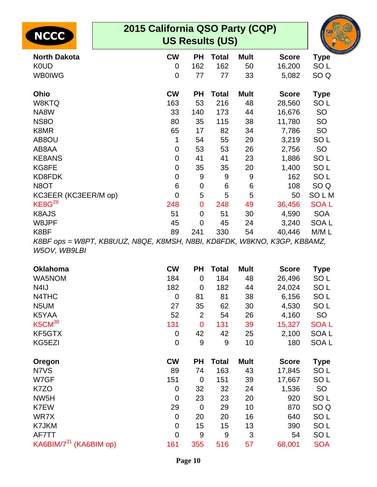| <b>NCCC</b>                                                              | 2015 California QSO Party (CQP)<br><b>US Results (US)</b> |             |              |             |              |                 |  |  |
|--------------------------------------------------------------------------|-----------------------------------------------------------|-------------|--------------|-------------|--------------|-----------------|--|--|
| <b>North Dakota</b>                                                      | <b>CW</b>                                                 | <b>PH</b>   | <b>Total</b> | <b>Mult</b> | <b>Score</b> | <b>Type</b>     |  |  |
| <b>K0UD</b>                                                              | $\mathbf 0$                                               | 162         | 162          | 50          | 16,200       | SO <sub>L</sub> |  |  |
| <b>WB0IWG</b>                                                            | $\mathbf 0$                                               | 77          | 77           | 33          | 5,082        | SO <sub>Q</sub> |  |  |
| Ohio                                                                     | <b>CW</b>                                                 | <b>PH</b>   | <b>Total</b> | <b>Mult</b> | <b>Score</b> | <b>Type</b>     |  |  |
| W8KTQ                                                                    | 163                                                       | 53          | 216          | 48          | 28,560       | SO <sub>L</sub> |  |  |
| NA8W                                                                     | 33                                                        | 140         | 173          | 44          | 16,676       | <b>SO</b>       |  |  |
| <b>NS80</b>                                                              | 80                                                        | 35          | 115          | 38          | 11,780       | <b>SO</b>       |  |  |
| K8MR                                                                     | 65                                                        | 17          | 82           | 34          | 7,786        | <b>SO</b>       |  |  |
| AB8OU                                                                    | 1                                                         | 54          | 55           | 29          | 3,219        | SO <sub>L</sub> |  |  |
| AB8AA                                                                    | $\mathbf 0$                                               | 53          | 53           | 26          | 2,756        | <b>SO</b>       |  |  |
| <b>KE8ANS</b>                                                            | $\mathbf 0$                                               | 41          | 41           | 23          | 1,886        | SO <sub>L</sub> |  |  |
| KG8FE                                                                    | $\mathbf 0$                                               | 35          | 35           | 20          | 1,400        | SO <sub>L</sub> |  |  |
| KD8FDK                                                                   | $\mathbf 0$                                               | 9           | 9            | 9           | 162          | SO <sub>L</sub> |  |  |
| N8OT                                                                     | $\,6$                                                     | 0           | 6            | 6           | 108          | SO <sub>Q</sub> |  |  |
| KC3EER (KC3EER/M op)                                                     | $\overline{0}$                                            | 5           | 5            | 5           | 50           | <b>SOLM</b>     |  |  |
| KE8G <sup>29</sup>                                                       | 248                                                       | $\mathbf 0$ | 248          | 49          | 36,456       | <b>SOAL</b>     |  |  |
| K8AJS                                                                    | 51                                                        | 0           | 51           | 30          | 4,590        | <b>SOA</b>      |  |  |
| W8JPF                                                                    | 45                                                        | 0           | 45           | 24          | 3,240        | SOA L           |  |  |
| K8BF                                                                     | 89                                                        | 241         | 330          | 54          | 40,446       | M/ML            |  |  |
| K8BF ops = W8PT, KB8UUZ, N8QE, K8MSH, N8BI, KD8FDK, W8KNO, K3GP, KB8AMZ, |                                                           |             |              |             |              |                 |  |  |

**ORNIA OSO** 

W5OV, WB9LBI

| <b>Oklahoma</b>    | <b>CW</b>   | PН             | Total | <b>Mult</b> | <b>Score</b> | <b>Type</b>      |
|--------------------|-------------|----------------|-------|-------------|--------------|------------------|
| <b>WA5NOM</b>      | 184         | 0              | 184   | 48          | 26,496       | SO <sub>L</sub>  |
| N <sub>4</sub> IJ  | 182         | $\mathbf 0$    | 182   | 44          | 24,024       | SO <sub>L</sub>  |
| N4THC              | $\mathbf 0$ | 81             | 81    | 38          | 6,156        | SO <sub>L</sub>  |
| N5UM               | 27          | 35             | 62    | 30          | 4,530        | SO <sub>L</sub>  |
| K5YAA              | 52          | $\overline{2}$ | 54    | 26          | 4,160        | <b>SO</b>        |
| K5CM <sup>30</sup> | 131         | $\mathbf 0$    | 131   | 39          | 15,327       | <b>SOAL</b>      |
| KF5GTX             | 0           | 42             | 42    | 25          | 2,100        | SOA <sub>L</sub> |
| KG5EZI             | 0           | 9              | 9     | 10          | 180          | SOA <sub>L</sub> |
|                    |             |                |       |             |              |                  |
| Oregon             | <b>CW</b>   | PН             | Total | <b>Mult</b> | <b>Score</b> | <b>Type</b>      |
| N7VS               | 89          | 74             | 163   | 43          | 17,845       | SO <sub>L</sub>  |
| W7GF               | 151         | $\mathbf 0$    | 151   | 39          | 17,667       | SO <sub>L</sub>  |
| K7ZO               | 0           | 32             | 32    | 24          | 1,536        | <b>SO</b>        |
| NW <sub>5</sub> H  | 0           | 23             | 23    | 20          | 920          | SO <sub>L</sub>  |
| K7EW               | 29          | $\mathbf 0$    | 29    | 10          | 870          | SO <sub>Q</sub>  |
| WR7X               | $\mathbf 0$ | 20             | 20    | 16          | 640          | SO <sub>L</sub>  |
| K7JKM              | 0           | 15             | 15    | 13          | 390          | SO <sub>L</sub>  |
| AF7TT              | 0           | 9              | 9     | 3           | 54           | SO <sub>L</sub>  |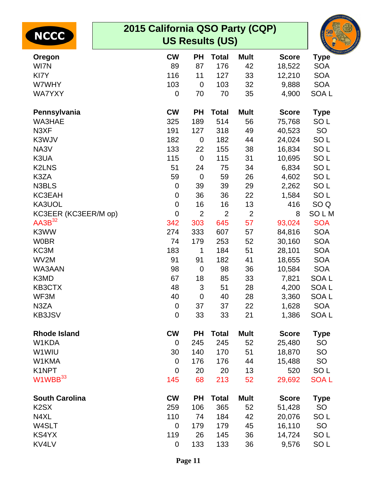| <b>NCCC</b>                   | 2015 California QSO Party (CQP)<br><b>US Results (US)</b> |                |                |                |              |                  |  |  |  |  |
|-------------------------------|-----------------------------------------------------------|----------------|----------------|----------------|--------------|------------------|--|--|--|--|
| Oregon                        | <b>CW</b>                                                 | <b>PH</b>      | <b>Total</b>   | <b>Mult</b>    | <b>Score</b> | <b>Type</b>      |  |  |  |  |
| WI7N                          | 89                                                        | 87             | 176            | 42             | 18,522       | <b>SOA</b>       |  |  |  |  |
| KI7Y                          | 116                                                       | 11             | 127            | 33             | 12,210       | <b>SOA</b>       |  |  |  |  |
| W7WHY                         | 103                                                       | $\mathbf 0$    | 103            | 32             | 9,888        | <b>SOA</b>       |  |  |  |  |
| <b>WA7YXY</b>                 | $\mathbf 0$                                               | 70             | 70             | 35             | 4,900        | SOA <sub>L</sub> |  |  |  |  |
| Pennsylvania                  | <b>CW</b>                                                 | <b>PH</b>      | <b>Total</b>   | <b>Mult</b>    | <b>Score</b> | <b>Type</b>      |  |  |  |  |
| WA3HAE                        | 325                                                       | 189            | 514            | 56             | 75,768       | SO <sub>L</sub>  |  |  |  |  |
| N3XF                          | 191                                                       | 127            | 318            | 49             | 40,523       | SO               |  |  |  |  |
| K3WJV                         | 182                                                       | $\mathbf 0$    | 182            | 44             | 24,024       | SO <sub>L</sub>  |  |  |  |  |
| NA3V                          | 133                                                       | 22             | 155            | 38             | 16,834       | SO <sub>L</sub>  |  |  |  |  |
| K3UA                          | 115                                                       | $\mathbf 0$    | 115            | 31             | 10,695       | SO <sub>L</sub>  |  |  |  |  |
| <b>K2LNS</b>                  | 51                                                        | 24             | 75             | 34             | 6,834        | SO <sub>L</sub>  |  |  |  |  |
| K3ZA                          | 59                                                        | $\mathbf 0$    | 59             | 26             | 4,602        | SO <sub>L</sub>  |  |  |  |  |
| N3BLS                         | 0                                                         | 39             | 39             | 29             | 2,262        | SO <sub>L</sub>  |  |  |  |  |
| KC3EAH                        | 0                                                         | 36             | 36             | 22             | 1,584        | SO <sub>L</sub>  |  |  |  |  |
| KA3UOL                        | $\mathbf 0$                                               | 16             | 16             | 13             | 416          | SO <sub>Q</sub>  |  |  |  |  |
| KC3EER (KC3EER/M op)          | $\mathbf 0$                                               | $\overline{2}$ | $\overline{2}$ | $\overline{2}$ | 8            | SOLM             |  |  |  |  |
| AA3B <sup>32</sup>            | 342                                                       | 303            | 645            | 57             | 93,024       | <b>SOA</b>       |  |  |  |  |
| K3WW                          | 274                                                       | 333            | 607            | 57             | 84,816       | <b>SOA</b>       |  |  |  |  |
| <b>W0BR</b>                   | 74                                                        | 179            | 253            | 52             | 30,160       | <b>SOA</b>       |  |  |  |  |
| KC3M                          | 183                                                       | 1              | 184            | 51             | 28,101       | <b>SOA</b>       |  |  |  |  |
| WV2M                          | 91                                                        | 91             | 182            | 41             | 18,655       | <b>SOA</b>       |  |  |  |  |
| WA3AAN                        | 98                                                        | $\mathbf 0$    | 98             | 36             | 10,584       | <b>SOA</b>       |  |  |  |  |
| K3MD                          | 67                                                        | 18             | 85             | 33             | 7,821        | SOA <sub>L</sub> |  |  |  |  |
| KB3CTX                        | 48                                                        | 3              | 51             | 28             | 4,200        | SOA L            |  |  |  |  |
| WF3M                          | 40                                                        | $\mathbf 0$    | 40             | 28             | 3,360        | SOA <sub>L</sub> |  |  |  |  |
| N3ZA                          | $\mathbf 0$                                               | 37             | 37             | 22             | 1,628        | <b>SOA</b>       |  |  |  |  |
| KB3JSV                        | $\mathbf 0$                                               | 33             | 33             | 21             | 1,386        | SOA <sub>L</sub> |  |  |  |  |
| <b>Rhode Island</b>           | <b>CW</b>                                                 | <b>PH</b>      | <b>Total</b>   | <b>Mult</b>    | <b>Score</b> | <b>Type</b>      |  |  |  |  |
| W1KDA                         | 0                                                         | 245            | 245            | 52             | 25,480       | <b>SO</b>        |  |  |  |  |
| W1WIU                         | 30                                                        | 140            | 170            | 51             | 18,870       | <b>SO</b>        |  |  |  |  |
| W1KMA                         | $\mathbf 0$                                               | 176            | 176            | 44             | 15,488       | SO               |  |  |  |  |
| K1NPT                         | $\mathbf 0$                                               | 20             | 20             | 13             | 520          | SO <sub>L</sub>  |  |  |  |  |
| W1WBB <sup>33</sup>           | 145                                                       | 68             | 213            | 52             | 29,692       | <b>SOAL</b>      |  |  |  |  |
| <b>South Carolina</b>         | <b>CW</b>                                                 | <b>PH</b>      | <b>Total</b>   | <b>Mult</b>    | <b>Score</b> | <b>Type</b>      |  |  |  |  |
| K <sub>2</sub> S <sub>X</sub> | 259                                                       | 106            | 365            | 52             | 51,428       | <b>SO</b>        |  |  |  |  |
| N4XL                          | 110                                                       | 74             | 184            | 42             | 20,076       | SO <sub>L</sub>  |  |  |  |  |
| W4SLT                         | 0                                                         | 179            | 179            | 45             | 16,110       | <b>SO</b>        |  |  |  |  |
| KS4YX                         | 119                                                       | 26             | 145            | 36             | 14,724       | SO <sub>L</sub>  |  |  |  |  |
| KV4LV                         | $\mathbf 0$                                               | 133            | 133            | 36             | 9,576        | SO <sub>L</sub>  |  |  |  |  |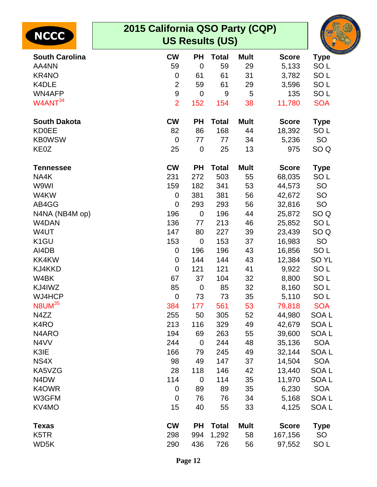| <b>NCCC</b>                   | 2015 California QSO Party (CQP) |                | <b>US Results (US)</b> |             |              |                  |
|-------------------------------|---------------------------------|----------------|------------------------|-------------|--------------|------------------|
| <b>South Carolina</b>         | <b>CW</b>                       | <b>PH</b>      | <b>Total</b>           | <b>Mult</b> | <b>Score</b> | <b>Type</b>      |
| AA4NN                         | 59                              | $\mathbf 0$    | 59                     | 29          | 5,133        | SO <sub>L</sub>  |
| KR4NO                         | 0                               | 61             | 61                     | 31          | 3,782        | SO <sub>L</sub>  |
| K4DLE                         | $\overline{2}$                  | 59             | 61                     | 29          | 3,596        | SO <sub>L</sub>  |
| WN4AFP                        | $\boldsymbol{9}$                | 0              | 9                      | 5           | 135          | SO <sub>L</sub>  |
| W4ANT <sup>34</sup>           | $\overline{2}$                  | 152            | 154                    | 38          | 11,780       | <b>SOA</b>       |
| <b>South Dakota</b>           | <b>CW</b>                       | <b>PH</b>      | <b>Total</b>           | <b>Mult</b> | <b>Score</b> | <b>Type</b>      |
| <b>KD0EE</b>                  | 82                              | 86             | 168                    | 44          | 18,392       | SO <sub>L</sub>  |
| <b>KB0WSW</b>                 | $\overline{0}$                  | 77             | 77                     | 34          | 5,236        | SO               |
| KE0Z                          | 25                              | $\mathbf 0$    | 25                     | 13          | 975          | SO <sub>Q</sub>  |
| <b>Tennessee</b>              | <b>CW</b>                       | <b>PH</b>      | <b>Total</b>           | <b>Mult</b> | <b>Score</b> | <b>Type</b>      |
| NA4K                          | 231                             | 272            | 503                    | 55          | 68,035       | SO <sub>L</sub>  |
| W9WI                          | 159                             | 182            | 341                    | 53          | 44,573       | <b>SO</b>        |
| W4KW                          | 0                               | 381            | 381                    | 56          | 42,672       | <b>SO</b>        |
| AB4GG                         | $\overline{0}$                  | 293            | 293                    | 56          | 32,816       | SO               |
| N4NA (NB4M op)                | 196                             | $\mathbf 0$    | 196                    | 44          | 25,872       | SO <sub>Q</sub>  |
| W4DAN                         | 136                             | 77             | 213                    | 46          | 25,852       | SO <sub>L</sub>  |
| W4UT                          | 147                             | 80             | 227                    | 39          | 23,439       | SO <sub>Q</sub>  |
| K <sub>1</sub> GU             | 153                             | 0              | 153                    | 37          | 16,983       | SO               |
| AI4DB                         | 0                               | 196            | 196                    | 43          | 16,856       | SO <sub>L</sub>  |
| KK4KW                         | 0                               | 144            | 144                    | 43          | 12,384       | SO <sub>YL</sub> |
| KJ4KKD                        | 0                               | 121            | 121                    | 41          | 9,922        | SO <sub>L</sub>  |
| W4BK                          | 67                              | 37             | 104                    | 32          | 8,800        | SO <sub>L</sub>  |
| KJ4IWZ                        | 85                              | $\overline{0}$ | 85                     | 32          | 8,160        | SO <sub>L</sub>  |
| WJ4HCP                        | $\mathbf 0$                     | 73             | 73                     | 35          | 5,110        | SO <sub>L</sub>  |
| N8UM <sup>35</sup>            | 384                             | 177            | 561                    | 53          | 79,818       | <b>SOA</b>       |
| N4ZZ                          | 255                             | 50             | 305                    | 52          | 44,980       | SOA <sub>L</sub> |
| K <sub>4</sub> RO             | 213                             | 116            | 329                    | 49          | 42,679       | SOA <sub>L</sub> |
| N <sub>4</sub> ARO            | 194                             | 69             | 263                    | 55          | 39,600       | SOA <sub>L</sub> |
| N4VV                          | 244                             | $\mathbf 0$    | 244                    | 48          | 35,136       | <b>SOA</b>       |
| K3IE                          | 166                             | 79             | 245                    | 49          | 32,144       | <b>SOAL</b>      |
| NS4X                          | 98                              | 49             | 147                    | 37          | 14,504       | <b>SOA</b>       |
| KA5VZG                        | 28                              | 118            | 146                    | 42          | 13,440       | SOA <sub>L</sub> |
| N <sub>4</sub> D <sub>W</sub> | 114                             | $\mathbf 0$    | 114                    | 35          | 11,970       | SOA L            |
| K4OWR                         | $\mathbf 0$                     | 89             | 89                     | 35          | 6,230        | <b>SOA</b>       |
| W3GFM                         | $\mathbf 0$                     | 76             | 76                     | 34          | 5,168        | SOA <sub>L</sub> |
| KV4MO                         | 15                              | 40             | 55                     | 33          | 4,125        | SOA <sub>L</sub> |
| <b>Texas</b>                  | <b>CW</b>                       | <b>PH</b>      | <b>Total</b>           | <b>Mult</b> | <b>Score</b> | <b>Type</b>      |
| K <sub>5</sub> TR             | 298                             | 994            | 1,292                  | 58          | 167,156      | <b>SO</b>        |
| WD5K                          | 290                             | 436            | 726                    | 56          | 97,552       | SO <sub>L</sub>  |
|                               |                                 |                |                        |             |              |                  |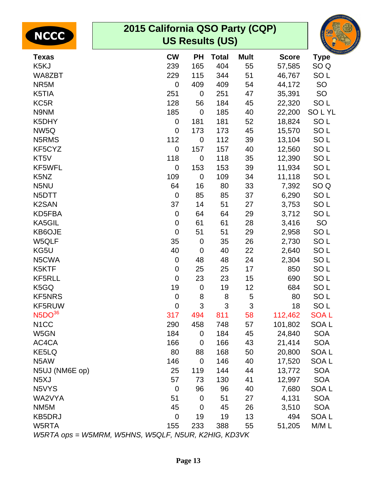| <b>NCCC</b>                                         | 2015 California QSO Party (CQP) |                | <b>US Results (US)</b> |             |              | GOLD<br>Rush<br>${\bf 50}$ |
|-----------------------------------------------------|---------------------------------|----------------|------------------------|-------------|--------------|----------------------------|
| <b>Texas</b>                                        | <b>CW</b>                       | <b>PH</b>      | <b>Total</b>           | <b>Mult</b> | <b>Score</b> | <b>Type</b>                |
| K <sub>5</sub> KJ                                   | 239                             | 165            | 404                    | 55          | 57,585       | SO <sub>Q</sub>            |
| WA8ZBT                                              | 229                             | 115            | 344                    | 51          | 46,767       | SO <sub>L</sub>            |
| NR5M                                                | $\mathbf 0$                     | 409            | 409                    | 54          | 44,172       | SO                         |
| K5TIA                                               | 251                             | $\mathbf 0$    | 251                    | 47          | 35,391       | SO                         |
| KC5R                                                | 128                             | 56             | 184                    | 45          | 22,320       | SO <sub>L</sub>            |
| N9NM                                                | 185                             | $\mathbf 0$    | 185                    | 40          | 22,200       | <b>SOLYL</b>               |
| K5DHY                                               | $\pmb{0}$                       | 181            | 181                    | 52          | 18,824       | SO <sub>L</sub>            |
| NW5Q                                                | $\mathbf 0$                     | 173            | 173                    | 45          | 15,570       | SO <sub>L</sub>            |
| N5RMS                                               | 112                             | $\overline{0}$ | 112                    | 39          | 13,104       | SO <sub>L</sub>            |
| KF5CYZ                                              | $\mathbf 0$                     | 157            | 157                    | 40          | 12,560       | SO <sub>L</sub>            |
| KT5V                                                | 118                             | $\mathbf 0$    | 118                    | 35          | 12,390       | SO <sub>L</sub>            |
| KF5WFL                                              | $\mathbf 0$                     | 153            | 153                    | 39          | 11,934       | SO <sub>L</sub>            |
| K <sub>5</sub> N <sub>Z</sub>                       | 109                             | $\mathbf 0$    | 109                    | 34          | 11,118       | SO <sub>L</sub>            |
| N5NU                                                | 64                              | 16             | 80                     | 33          | 7,392        | SO <sub>Q</sub>            |
| N <sub>5</sub> DTT                                  | $\mathbf 0$                     | 85             | 85                     | 37          | 6,290        | SO <sub>L</sub>            |
| K <sub>2</sub> SAN                                  | 37                              | 14             | 51                     | 27          | 3,753        | SO <sub>L</sub>            |
| KD5FBA                                              | $\mathbf 0$                     | 64             | 64                     | 29          | 3,712        | SO <sub>L</sub>            |
| KA5GIL                                              | $\mathbf 0$                     | 61             | 61                     | 28          | 3,416        | SO                         |
| KB6OJE                                              | $\mathbf 0$                     | 51             | 51                     | 29          | 2,958        | SO <sub>L</sub>            |
| W5QLF                                               | 35                              | $\mathbf 0$    | 35                     | 26          | 2,730        | SO <sub>L</sub>            |
| KG5U                                                | 40                              | $\mathbf 0$    | 40                     | 22          | 2,640        | SO <sub>L</sub>            |
| N5CWA                                               | $\mathbf 0$                     | 48             | 48                     | 24          | 2,304        | SO <sub>L</sub>            |
| K5KTF                                               | $\mathbf 0$                     | 25             | 25                     | 17          | 850          | SO <sub>L</sub>            |
| <b>KF5RLL</b>                                       | $\mathbf 0$                     | 23             | 23                     | 15          | 690          | SO <sub>L</sub>            |
| K5GQ                                                | 19                              | $\mathbf 0$    | 19                     | 12          | 684          | SO <sub>L</sub>            |
| <b>KF5NRS</b>                                       | 0                               | 8              | 8                      | 5           | 80           | SO <sub>L</sub>            |
| KF5RUW                                              | $\mathbf 0$                     | 3              | $\mathfrak{S}$         | 3           | 18           | SO <sub>L</sub>            |
| N5DO <sup>36</sup>                                  | 317                             | 494            | 811                    | 58          | 112,462      | <b>SOAL</b>                |
| N <sub>1</sub> CC                                   | 290                             | 458            | 748                    | 57          | 101,802      | SOA L                      |
| W5GN                                                | 184                             | $\mathbf 0$    | 184                    | 45          | 24,840       | <b>SOA</b>                 |
| AC4CA                                               | 166                             | $\mathbf 0$    | 166                    | 43          | 21,414       | <b>SOA</b>                 |
| KE5LQ                                               | 80                              | 88             | 168                    | 50          | 20,800       | <b>SOAL</b>                |
| N5AW                                                | 146                             | $\mathbf 0$    | 146                    | 40          | 17,520       | SOA <sub>L</sub>           |
| N5UJ (NM6E op)                                      | 25                              | 119            | 144                    | 44          | 13,772       | <b>SOA</b>                 |
| N <sub>5</sub> XJ                                   | 57                              | 73             | 130                    | 41          | 12,997       | <b>SOA</b>                 |
| N5VYS                                               | $\mathbf 0$                     | 96             | 96                     | 40          | 7,680        | SOA <sub>L</sub>           |
| WA2VYA                                              | 51                              | $\mathbf 0$    | 51                     | 27          | 4,131        | <b>SOA</b>                 |
| NM <sub>5</sub> M                                   | 45                              | $\mathbf 0$    | 45                     | 26          | 3,510        | <b>SOA</b>                 |
| <b>KB5DRJ</b>                                       | $\mathbf 0$                     | 19             | 19                     | 13          | 494          | SOA <sub>L</sub>           |
| W5RTA                                               | 155                             | 233            | 388                    | 55          | 51,205       | M/M L                      |
| W5RTA ops = W5MRM, W5HNS, W5QLF, N5UR, K2HIG, KD3VK |                                 |                |                        |             |              |                            |

ORNIA OS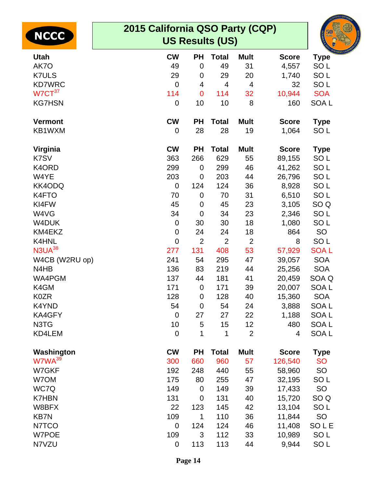| <b>NCCC</b><br><b>Utah</b> | 2015 California QSO Party (CQP)<br><b>US Results (US)</b><br><b>CW</b><br><b>PH</b><br><b>Mult</b> |                |                    |                         |                       |                                |  |  |  |
|----------------------------|----------------------------------------------------------------------------------------------------|----------------|--------------------|-------------------------|-----------------------|--------------------------------|--|--|--|
| AK7O                       | 49                                                                                                 | $\mathbf 0$    | <b>Total</b><br>49 | 31                      | <b>Score</b><br>4,557 | <b>Type</b><br>SO <sub>L</sub> |  |  |  |
| <b>K7ULS</b>               | 29                                                                                                 | 0              | 29                 | 20                      | 1,740                 | SO <sub>L</sub>                |  |  |  |
| <b>KD7WRC</b>              | $\mathbf 0$                                                                                        | 4              | 4                  | $\overline{\mathbf{4}}$ | 32                    | SO <sub>L</sub>                |  |  |  |
| $W7CT^{37}$                | 114                                                                                                | $\mathbf 0$    | 114                | 32                      | 10,944                | <b>SOA</b>                     |  |  |  |
| <b>KG7HSN</b>              | $\mathbf 0$                                                                                        | 10             | 10                 | 8                       | 160                   | SOA <sub>L</sub>               |  |  |  |
| <b>Vermont</b>             | <b>CW</b>                                                                                          | <b>PH</b>      | <b>Total</b>       | <b>Mult</b>             | <b>Score</b>          | <b>Type</b>                    |  |  |  |
| KB1WXM                     | $\mathbf 0$                                                                                        | 28             | 28                 | 19                      | 1,064                 | SO <sub>L</sub>                |  |  |  |
| Virginia                   | <b>CW</b>                                                                                          | <b>PH</b>      | <b>Total</b>       | <b>Mult</b>             | <b>Score</b>          | <b>Type</b>                    |  |  |  |
| K7SV                       | 363                                                                                                | 266            | 629                | 55                      | 89,155                | SO <sub>L</sub>                |  |  |  |
| K4ORD                      | 299                                                                                                | 0              | 299                | 46                      | 41,262                | SO <sub>L</sub>                |  |  |  |
| W4YE                       | 203                                                                                                | $\mathbf 0$    | 203                | 44                      | 26,796                | SO <sub>L</sub>                |  |  |  |
| KK4ODQ                     | 0                                                                                                  | 124            | 124                | 36                      | 8,928                 | SO <sub>L</sub>                |  |  |  |
| K4FTO                      | 70                                                                                                 | $\mathbf 0$    | 70                 | 31                      | 6,510                 | SO <sub>L</sub>                |  |  |  |
| KI4FW                      | 45                                                                                                 | $\mathbf 0$    | 45                 | 23                      | 3,105                 | SO <sub>Q</sub>                |  |  |  |
| W4VG                       | 34                                                                                                 | $\mathbf 0$    | 34                 | 23                      | 2,346                 | SO <sub>L</sub>                |  |  |  |
| W4DUK                      | 0                                                                                                  | 30             | 30                 | 18                      | 1,080                 | SO <sub>L</sub>                |  |  |  |
| KM4EKZ                     | 0                                                                                                  | 24             | 24                 | 18                      | 864                   | <b>SO</b>                      |  |  |  |
| K4HNL                      | $\mathbf 0$                                                                                        | $\overline{2}$ | $\overline{2}$     | $\overline{2}$          | 8                     | SO <sub>L</sub>                |  |  |  |
| N3UA <sup>38</sup>         | 277                                                                                                | 131            | 408                | 53                      | 57,929                | <b>SOAL</b>                    |  |  |  |
| W4CB (W2RU op)             | 241                                                                                                | 54             | 295                | 47                      | 39,057                | <b>SOA</b>                     |  |  |  |
| N4HB                       | 136                                                                                                | 83             | 219                | 44                      | 25,256                | <b>SOA</b>                     |  |  |  |
| WA4PGM                     | 137                                                                                                | 44             | 181                | 41                      | 20,459                | SOA Q                          |  |  |  |
| K4GM                       | 171                                                                                                | $\mathbf 0$    | 171                | 39                      | 20,007                | SOA <sub>L</sub>               |  |  |  |
| K0ZR                       | 128                                                                                                | 0              | 128                | 40                      | 15,360                | <b>SOA</b>                     |  |  |  |
| K4YND                      | 54                                                                                                 | $\mathbf 0$    | 54                 | 24                      | 3,888                 | SOA <sub>L</sub>               |  |  |  |
| KA4GFY                     | $\mathbf 0$                                                                                        | 27             | 27                 | 22                      | 1,188                 | SOA L                          |  |  |  |
| N3TG                       | 10                                                                                                 | 5              | 15                 | 12                      | 480                   | SOA <sub>L</sub>               |  |  |  |
| KD4LEM                     | $\mathbf 0$                                                                                        | 1              | 1                  | $\overline{2}$          | 4                     | SOA <sub>L</sub>               |  |  |  |
| Washington                 | <b>CW</b>                                                                                          | <b>PH</b>      | <b>Total</b>       | <b>Mult</b>             | <b>Score</b>          | <b>Type</b>                    |  |  |  |
| W7WA <sup>39</sup>         | 300                                                                                                | 660            | 960                | 57                      | 126,540               | <b>SO</b>                      |  |  |  |
| W7GKF                      | 192                                                                                                | 248            | 440                | 55                      | 58,960                | <b>SO</b>                      |  |  |  |
| W7OM                       | 175                                                                                                | 80             | 255                | 47                      | 32,195                | SO <sub>L</sub>                |  |  |  |
| WC7Q                       | 149                                                                                                | $\mathbf 0$    | 149                | 39                      | 17,433                | SO                             |  |  |  |
| <b>K7HBN</b>               | 131                                                                                                | $\mathbf 0$    | 131                | 40                      | 15,720                | SO <sub>Q</sub>                |  |  |  |
| W8BFX                      | 22                                                                                                 | 123            | 145                | 42                      | 13,104                | SO <sub>L</sub>                |  |  |  |
| <b>KB7N</b>                | 109                                                                                                | 1              | 110                | 36                      | 11,844                | SO                             |  |  |  |
| N7TCO                      | $\mathbf 0$                                                                                        | 124            | 124                | 46                      | 11,408                | SOLE                           |  |  |  |
| W7POE                      | 109                                                                                                | 3              | 112                | 33                      | 10,989                | SO <sub>L</sub>                |  |  |  |
| N7VZU                      | $\mathbf 0$                                                                                        | 113            | 113                | 44                      | 9,944                 | SO <sub>L</sub>                |  |  |  |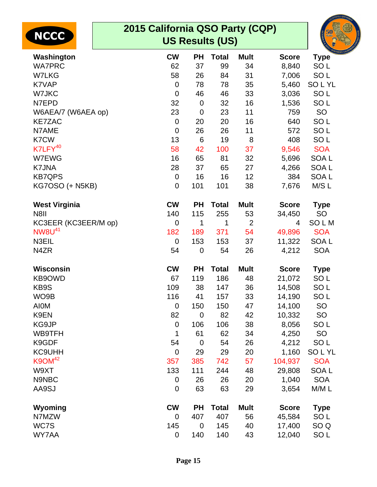| <b>NCCC</b>              | 2015 California QSO Party (CQP)<br><b>US Results (US)</b> |                |              |                |              |                  |  |
|--------------------------|-----------------------------------------------------------|----------------|--------------|----------------|--------------|------------------|--|
| Washington               | <b>CW</b>                                                 | <b>PH</b>      | <b>Total</b> | <b>Mult</b>    | <b>Score</b> | <b>Type</b>      |  |
| <b>WA7PRC</b>            | 62                                                        | 37             | 99           | 34             | 8,840        | SO <sub>L</sub>  |  |
| <b>W7LKG</b>             | 58                                                        | 26             | 84           | 31             | 7,006        | SO <sub>L</sub>  |  |
| K7VAP                    | $\overline{0}$                                            | 78             | 78           | 35             | 5,460        | <b>SOLYL</b>     |  |
| W7JKC                    | $\overline{0}$                                            | 46             | 46           | 33             | 3,036        | SO <sub>L</sub>  |  |
| N7EPD                    | 32                                                        | $\overline{0}$ | 32           | 16             | 1,536        | SO <sub>L</sub>  |  |
| W6AEA/7 (W6AEA op)       | 23                                                        | $\mathbf 0$    | 23           | 11             | 759          | SO               |  |
| <b>KE7ZAC</b>            | $\overline{0}$                                            | 20             | 20           | 16             | 640          | SO <sub>L</sub>  |  |
| N7AME                    | $\overline{0}$                                            | 26             | 26           | 11             | 572          | SO <sub>L</sub>  |  |
| K7CW                     | 13                                                        | 6              | 19           | 8              | 408          | SO <sub>L</sub>  |  |
| K7LFY <sup>40</sup>      | 58                                                        | 42             | 100          | 37             | 9,546        | <b>SOA</b>       |  |
| W7EWG                    | 16                                                        | 65             | 81           | 32             | 5,696        | SOA <sub>L</sub> |  |
| K7JNA                    | 28                                                        | 37             | 65           | 27             | 4,266        | SOA <sub>L</sub> |  |
| <b>KB7QPS</b>            | $\overline{0}$                                            | 16             | 16           | 12             | 384          | <b>SOAL</b>      |  |
| <b>KG7OSO (+ N5KB)</b>   | $\overline{0}$                                            | 101            | 101          | 38             | 7,676        | M/S L            |  |
|                          |                                                           |                |              |                |              |                  |  |
| <b>West Virginia</b>     | <b>CW</b>                                                 | <b>PH</b>      | <b>Total</b> | <b>Mult</b>    | <b>Score</b> | <b>Type</b>      |  |
| N8II                     | 140                                                       | 115            | 255          | 53             | 34,450       | SO               |  |
| KC3EER (KC3EER/M op)     | $\overline{0}$                                            | 1              | 1            | $\overline{2}$ | 4            | SOLM             |  |
| <b>NW8U<sup>41</sup></b> | 182                                                       | 189            | 371          | 54             | 49,896       | <b>SOA</b>       |  |
| N3EIL                    | $\overline{0}$                                            | 153            | 153          | 37             | 11,322       | SOA <sub>L</sub> |  |
| N4ZR                     | 54                                                        | $\mathbf 0$    | 54           | 26             | 4,212        | <b>SOA</b>       |  |
| <b>Wisconsin</b>         | <b>CW</b>                                                 | <b>PH</b>      | <b>Total</b> | <b>Mult</b>    | <b>Score</b> | <b>Type</b>      |  |
| KB9OWD                   | 67                                                        | 119            | 186          | 48             | 21,072       | SO <sub>L</sub>  |  |
| KB9S                     | 109                                                       | 38             | 147          | 36             | 14,508       | SO <sub>L</sub>  |  |
| WO9B                     | 116                                                       | 41             | 157          | 33             | 14,190       | SO <sub>L</sub>  |  |
| <b>AIOM</b>              | $\mathbf 0$                                               | 150            | 150          | 47             | 14,100       | <b>SO</b>        |  |
| K9EN                     | 82                                                        | $\mathbf 0$    | 82           | 42             | 10,332       | SO               |  |
| KG9JP                    | $\mathbf 0$                                               | 106            | 106          | 38             | 8,056        | SO <sub>L</sub>  |  |
| WB9TFH                   | 1                                                         | 61             | 62           | 34             | 4,250        | <b>SO</b>        |  |
| K9GDF                    | 54                                                        | $\mathbf 0$    | 54           | 26             | 4,212        | SO <sub>L</sub>  |  |
| <b>KC9UHH</b>            | $\overline{0}$                                            | 29             | 29           | 20             | 1,160        | <b>SOLYL</b>     |  |
| $K9OM^{42}$              | 357                                                       | 385            | 742          | 57             | 104,937      | <b>SOA</b>       |  |
| W9XT                     | 133                                                       | 111            | 244          | 48             | 29,808       | SOA <sub>L</sub> |  |
| N9NBC                    | $\mathbf 0$                                               | 26             | 26           | 20             | 1,040        | <b>SOA</b>       |  |
| AA9SJ                    | $\mathbf 0$                                               | 63             | 63           | 29             | 3,654        | M/ML             |  |
| Wyoming                  | <b>CW</b>                                                 | <b>PH</b>      | <b>Total</b> | <b>Mult</b>    | <b>Score</b> | <b>Type</b>      |  |
| N7MZW                    | $\overline{0}$                                            | 407            | 407          | 56             | 45,584       | SO <sub>L</sub>  |  |
| WC7S                     | 145                                                       | $\mathbf 0$    | 145          | 40             | 17,400       | SO <sub>Q</sub>  |  |
| WY7AA                    | $\mathbf 0$                                               | 140            | 140          | 43             | 12,040       | SO <sub>L</sub>  |  |
|                          |                                                           |                |              |                |              |                  |  |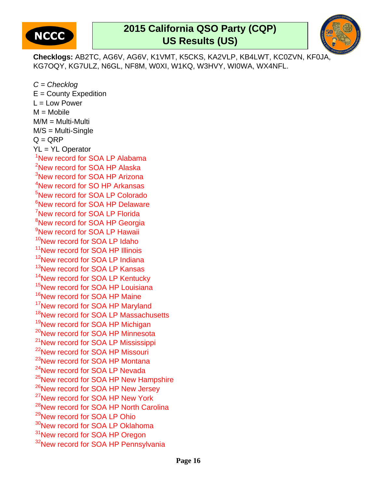

## **2015 California QSO Party (CQP) US Results (US)**



**Checklogs:** AB2TC, AG6V, AG6V, K1VMT, K5CKS, KA2VLP, KB4LWT, KC0ZVN, KF0JA, KG7OQY, KG7ULZ, N6GL, NF8M, W0XI, W1KQ, W3HVY, WI0WA, WX4NFL.

 $C =$ Checklog  $E =$  County Expedition  $L = Low Power$  $M = Mobile$  $M/M = Multi$ -Multi M/S = Multi-Single  $Q = QRP$ YL = YL Operator <sup>1</sup>New record for SOA LP Alabama <sup>2</sup>New record for SOA HP Alaska <sup>3</sup>New record for SOA HP Arizona <sup>4</sup>New record for SO HP Arkansas <sup>5</sup>New record for SOA LP Colorado <sup>6</sup>New record for SOA HP Delaware <sup>7</sup>New record for SOA LP Florida <sup>8</sup>New record for SOA HP Georgia <sup>9</sup>New record for SOA LP Hawaii <sup>10</sup>New record for SOA LP Idaho <sup>11</sup>New record for SOA HP Illinois <sup>12</sup>New record for SOA LP Indiana <sup>13</sup>New record for SOA LP Kansas <sup>14</sup>New record for SOA LP Kentucky <sup>15</sup>New record for SOA HP Louisiana <sup>16</sup>New record for SOA HP Maine <sup>17</sup>New record for SOA HP Maryland <sup>18</sup>New record for SOA LP Massachusetts <sup>19</sup>New record for SOA HP Michigan <sup>20</sup>New record for SOA HP Minnesota <sup>21</sup>New record for SOA LP Mississippi <sup>22</sup>New record for SOA HP Missouri <sup>23</sup>New record for SOA HP Montana <sup>24</sup>New record for SOA LP Nevada <sup>25</sup>New record for SOA HP New Hampshire <sup>26</sup>New record for SOA HP New Jersey <sup>27</sup>New record for SOA HP New York <sup>28</sup>New record for SOA HP North Carolina <sup>29</sup>New record for SOA LP Ohio <sup>30</sup>New record for SOA LP Oklahoma <sup>31</sup>New record for SOA HP Oregon <sup>32</sup>New record for SOA HP Pennsylvania